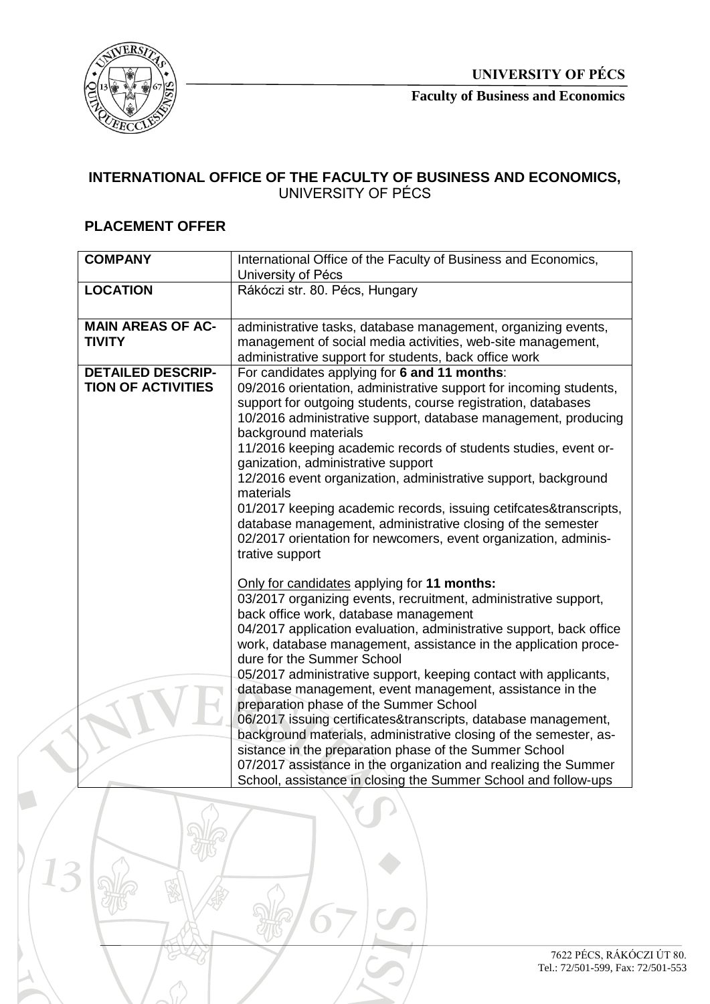

**Faculty of Business and Economics**

## **INTERNATIONAL OFFICE OF THE FACULTY OF BUSINESS AND ECONOMICS,**  UNIVERSITY OF PÉCS

## **PLACEMENT OFFER**

| <b>COMPANY</b>            | International Office of the Faculty of Business and Economics,      |
|---------------------------|---------------------------------------------------------------------|
|                           | University of Pécs                                                  |
| <b>LOCATION</b>           | Rákóczi str. 80. Pécs, Hungary                                      |
|                           |                                                                     |
|                           |                                                                     |
| <b>MAIN AREAS OF AC-</b>  | administrative tasks, database management, organizing events,       |
| <b>TIVITY</b>             | management of social media activities, web-site management,         |
|                           | administrative support for students, back office work               |
| <b>DETAILED DESCRIP-</b>  | For candidates applying for 6 and 11 months:                        |
| <b>TION OF ACTIVITIES</b> | 09/2016 orientation, administrative support for incoming students,  |
|                           | support for outgoing students, course registration, databases       |
|                           | 10/2016 administrative support, database management, producing      |
|                           | background materials                                                |
|                           | 11/2016 keeping academic records of students studies, event or-     |
|                           | ganization, administrative support                                  |
|                           | 12/2016 event organization, administrative support, background      |
|                           | materials                                                           |
|                           | 01/2017 keeping academic records, issuing cetifcates&transcripts,   |
|                           | database management, administrative closing of the semester         |
|                           | 02/2017 orientation for newcomers, event organization, adminis-     |
|                           | trative support                                                     |
|                           |                                                                     |
|                           | Only for candidates applying for 11 months:                         |
|                           | 03/2017 organizing events, recruitment, administrative support,     |
|                           | back office work, database management                               |
|                           | 04/2017 application evaluation, administrative support, back office |
|                           | work, database management, assistance in the application proce-     |
|                           | dure for the Summer School                                          |
|                           | 05/2017 administrative support, keeping contact with applicants,    |
|                           | database management, event management, assistance in the            |
|                           | preparation phase of the Summer School                              |
|                           | 06/2017 issuing certificates&transcripts, database management,      |
|                           | background materials, administrative closing of the semester, as-   |
|                           | sistance in the preparation phase of the Summer School              |
|                           | 07/2017 assistance in the organization and realizing the Summer     |
|                           | School, assistance in closing the Summer School and follow-ups      |
|                           |                                                                     |

Ĭ.